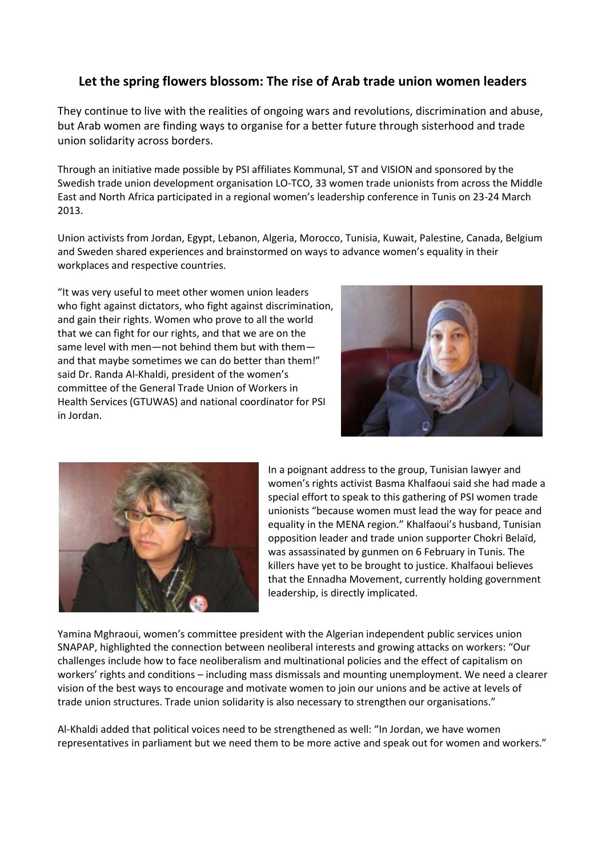## **Let the spring flowers blossom: The rise of Arab trade union women leaders**

They continue to live with the realities of ongoing wars and revolutions, discrimination and abuse, but Arab women are finding ways to organise for a better future through sisterhood and trade union solidarity across borders.

Through an initiative made possible by PSI affiliates Kommunal, ST and VISION and sponsored by the Swedish trade union development organisation LO-TCO, 33 women trade unionists from across the Middle East and North Africa participated in a regional women's leadership conference in Tunis on 23-24 March 2013.

Union activists from Jordan, Egypt, Lebanon, Algeria, Morocco, Tunisia, Kuwait, Palestine, Canada, Belgium and Sweden shared experiences and brainstormed on ways to advance women's equality in their workplaces and respective countries.

"It was very useful to meet other women union leaders who fight against dictators, who fight against discrimination, and gain their rights. Women who prove to all the world that we can fight for our rights, and that we are on the same level with men—not behind them but with them and that maybe sometimes we can do better than them!" said Dr. Randa Al-Khaldi, president of the women's committee of the General Trade Union of Workers in Health Services (GTUWAS) and national coordinator for PSI in Jordan.





In a poignant address to the group, Tunisian lawyer and women's rights activist Basma Khalfaoui said she had made a special effort to speak to this gathering of PSI women trade unionists "because women must lead the way for peace and equality in the MENA region." Khalfaoui's husband, Tunisian opposition leader and trade union supporter Chokri Belaïd, was assassinated by gunmen on 6 February in Tunis. The killers have yet to be brought to justice. Khalfaoui believes that the Ennadha Movement, currently holding government leadership, is directly implicated.

Yamina Mghraoui, women's committee president with the Algerian independent public services union SNAPAP, highlighted the connection between neoliberal interests and growing attacks on workers: "Our challenges include how to face neoliberalism and multinational policies and the effect of capitalism on workers' rights and conditions – including mass dismissals and mounting unemployment. We need a clearer vision of the best ways to encourage and motivate women to join our unions and be active at levels of trade union structures. Trade union solidarity is also necessary to strengthen our organisations."

Al-Khaldi added that political voices need to be strengthened as well: "In Jordan, we have women representatives in parliament but we need them to be more active and speak out for women and workers."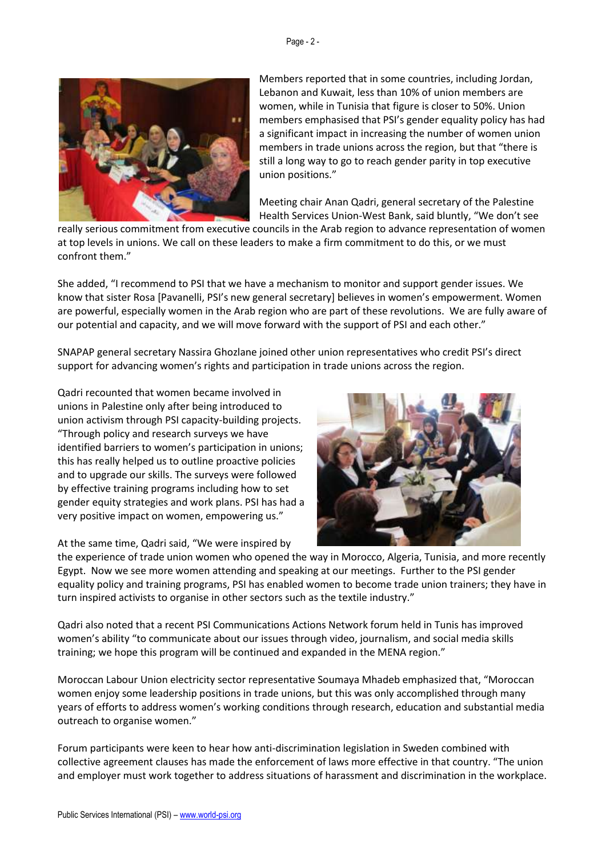

Members reported that in some countries, including Jordan, Lebanon and Kuwait, less than 10% of union members are women, while in Tunisia that figure is closer to 50%. Union members emphasised that PSI's gender equality policy has had a significant impact in increasing the number of women union members in trade unions across the region, but that "there is still a long way to go to reach gender parity in top executive union positions."

Meeting chair Anan Qadri, general secretary of the Palestine Health Services Union-West Bank, said bluntly, "We don't see

really serious commitment from executive councils in the Arab region to advance representation of women at top levels in unions. We call on these leaders to make a firm commitment to do this, or we must confront them."

She added, "I recommend to PSI that we have a mechanism to monitor and support gender issues. We know that sister Rosa [Pavanelli, PSI's new general secretary] believes in women's empowerment. Women are powerful, especially women in the Arab region who are part of these revolutions. We are fully aware of our potential and capacity, and we will move forward with the support of PSI and each other."

SNAPAP general secretary Nassira Ghozlane joined other union representatives who credit PSI's direct support for advancing women's rights and participation in trade unions across the region.

Qadri recounted that women became involved in unions in Palestine only after being introduced to union activism through PSI capacity-building projects. "Through policy and research surveys we have identified barriers to women's participation in unions; this has really helped us to outline proactive policies and to upgrade our skills. The surveys were followed by effective training programs including how to set gender equity strategies and work plans. PSI has had a very positive impact on women, empowering us."

At the same time, Qadri said, "We were inspired by



the experience of trade union women who opened the way in Morocco, Algeria, Tunisia, and more recently Egypt. Now we see more women attending and speaking at our meetings. Further to the PSI gender equality policy and training programs, PSI has enabled women to become trade union trainers; they have in turn inspired activists to organise in other sectors such as the textile industry."

Qadri also noted that a recent PSI Communications Actions Network forum held in Tunis has improved women's ability "to communicate about our issues through video, journalism, and social media skills training; we hope this program will be continued and expanded in the MENA region."

Moroccan Labour Union electricity sector representative Soumaya Mhadeb emphasized that, "Moroccan women enjoy some leadership positions in trade unions, but this was only accomplished through many years of efforts to address women's working conditions through research, education and substantial media outreach to organise women."

Forum participants were keen to hear how anti-discrimination legislation in Sweden combined with collective agreement clauses has made the enforcement of laws more effective in that country. "The union and employer must work together to address situations of harassment and discrimination in the workplace.